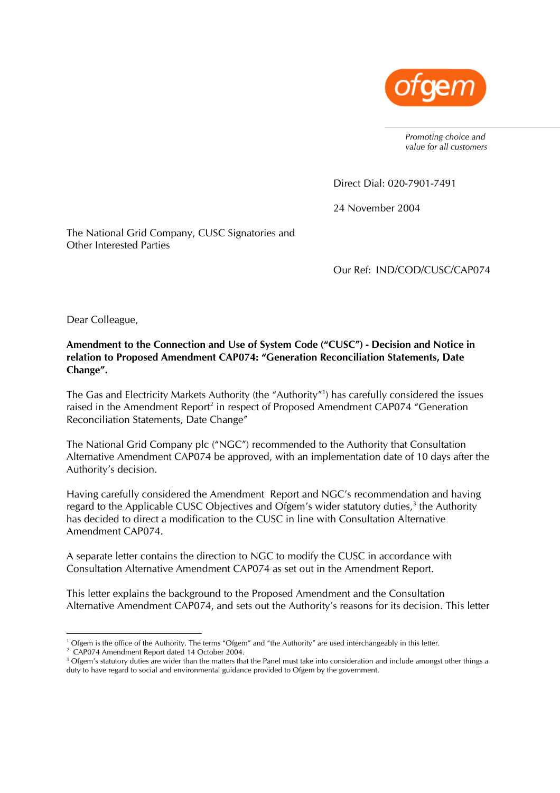

*Promoting choice and value for all customers* 

Direct Dial: 020-7901-7491

24 November 2004

The National Grid Company, CUSC Signatories and Other Interested Parties

Our Ref: IND/COD/CUSC/CAP074

Dear Colleague,

**Amendment to the Connection and Use of System Code ("CUSC") - Decision and Notice in relation to Proposed Amendment CAP074: "Generation Reconciliation Statements, Date Change".** 

The Gas and Electricity Markets Authority (the "Authority"1 ) has carefully considered the issues raised in the Amendment Report<sup>2</sup> in respect of Proposed Amendment CAP074 "Generation Reconciliation Statements, Date Change"

The National Grid Company plc ("NGC") recommended to the Authority that Consultation Alternative Amendment CAP074 be approved, with an implementation date of 10 days after the Authority's decision.

Having carefully considered the Amendment Report and NGC's recommendation and having regard to the Applicable CUSC Objectives and Ofgem's wider statutory duties, $3$  the Authority has decided to direct a modification to the CUSC in line with Consultation Alternative Amendment CAP074.

A separate letter contains the direction to NGC to modify the CUSC in accordance with Consultation Alternative Amendment CAP074 as set out in the Amendment Report.

This letter explains the background to the Proposed Amendment and the Consultation Alternative Amendment CAP074, and sets out the Authority's reasons for its decision. This letter

<sup>&</sup>lt;sup>1</sup> Ofgem is the office of the Authority. The terms "Ofgem" and "the Authority" are used interchangeably in this letter.<br><sup>2</sup> CAP074 Amondment Report dated 14 October 2004

<sup>&</sup>lt;sup>2</sup> CAP074 Amendment Report dated 14 October 2004.

 $3$  Ofgem's statutory duties are wider than the matters that the Panel must take into consideration and include amongst other things a duty to have regard to social and environmental guidance provided to Ofgem by the government.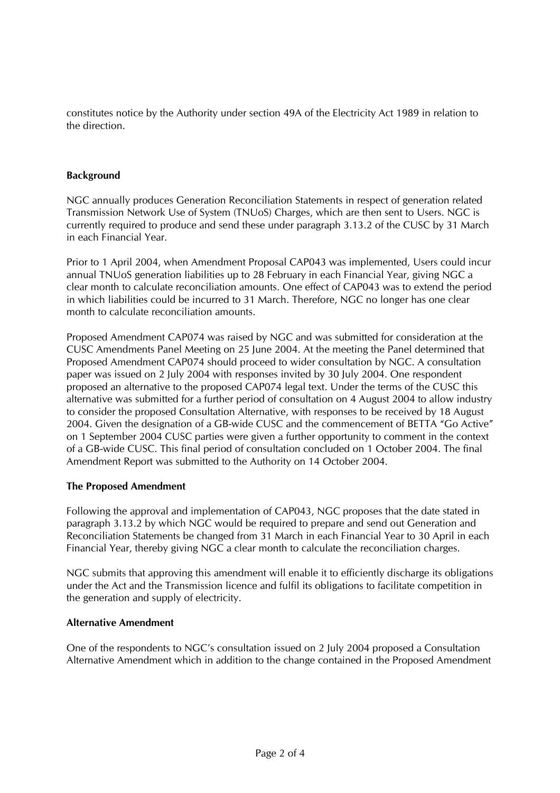constitutes notice by the Authority under section 49A of the Electricity Act 1989 in relation to the direction.

# **Background**

NGC annually produces Generation Reconciliation Statements in respect of generation related Transmission Network Use of System (TNUoS) Charges, which are then sent to Users. NGC is currently required to produce and send these under paragraph 3.13.2 of the CUSC by 31 March in each Financial Year.

Prior to 1 April 2004, when Amendment Proposal CAP043 was implemented, Users could incur annual TNUoS generation liabilities up to 28 February in each Financial Year, giving NGC a clear month to calculate reconciliation amounts. One effect of CAP043 was to extend the period in which liabilities could be incurred to 31 March. Therefore, NGC no longer has one clear month to calculate reconciliation amounts.

Proposed Amendment CAP074 was raised by NGC and was submitted for consideration at the CUSC Amendments Panel Meeting on 25 June 2004. At the meeting the Panel determined that Proposed Amendment CAP074 should proceed to wider consultation by NGC. A consultation paper was issued on 2 July 2004 with responses invited by 30 July 2004. One respondent proposed an alternative to the proposed CAP074 legal text. Under the terms of the CUSC this alternative was submitted for a further period of consultation on 4 August 2004 to allow industry to consider the proposed Consultation Alternative, with responses to be received by 18 August 2004. Given the designation of a GB-wide CUSC and the commencement of BETTA "Go Active" on 1 September 2004 CUSC parties were given a further opportunity to comment in the context of a GB-wide CUSC. This final period of consultation concluded on 1 October 2004. The final Amendment Report was submitted to the Authority on 14 October 2004.

## **The Proposed Amendment**

Following the approval and implementation of CAP043, NGC proposes that the date stated in paragraph 3.13.2 by which NGC would be required to prepare and send out Generation and Reconciliation Statements be changed from 31 March in each Financial Year to 30 April in each Financial Year, thereby giving NGC a clear month to calculate the reconciliation charges.

NGC submits that approving this amendment will enable it to efficiently discharge its obligations under the Act and the Transmission licence and fulfil its obligations to facilitate competition in the generation and supply of electricity.

### **Alternative Amendment**

One of the respondents to NGC's consultation issued on 2 July 2004 proposed a Consultation Alternative Amendment which in addition to the change contained in the Proposed Amendment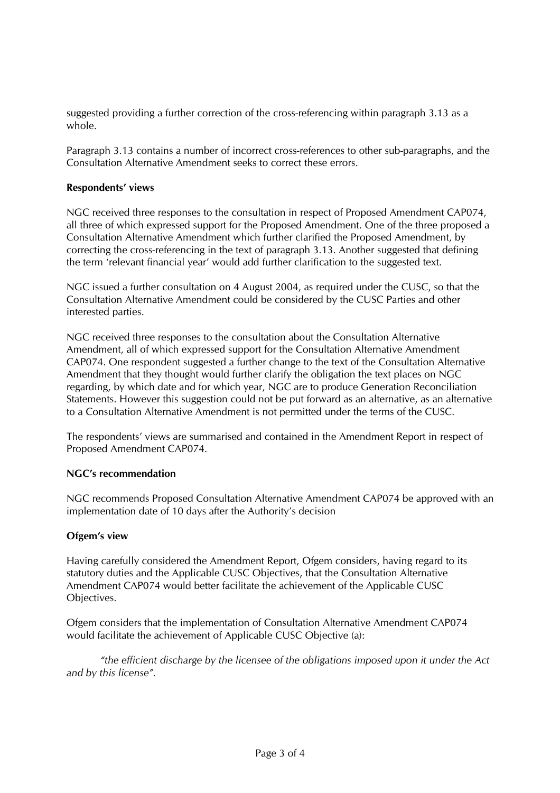suggested providing a further correction of the cross-referencing within paragraph 3.13 as a whole.

Paragraph 3.13 contains a number of incorrect cross-references to other sub-paragraphs, and the Consultation Alternative Amendment seeks to correct these errors.

### **Respondents' views**

NGC received three responses to the consultation in respect of Proposed Amendment CAP074, all three of which expressed support for the Proposed Amendment. One of the three proposed a Consultation Alternative Amendment which further clarified the Proposed Amendment, by correcting the cross-referencing in the text of paragraph 3.13. Another suggested that defining the term 'relevant financial year' would add further clarification to the suggested text.

NGC issued a further consultation on 4 August 2004, as required under the CUSC, so that the Consultation Alternative Amendment could be considered by the CUSC Parties and other interested parties.

NGC received three responses to the consultation about the Consultation Alternative Amendment, all of which expressed support for the Consultation Alternative Amendment CAP074. One respondent suggested a further change to the text of the Consultation Alternative Amendment that they thought would further clarify the obligation the text places on NGC regarding, by which date and for which year, NGC are to produce Generation Reconciliation Statements. However this suggestion could not be put forward as an alternative, as an alternative to a Consultation Alternative Amendment is not permitted under the terms of the CUSC.

The respondents' views are summarised and contained in the Amendment Report in respect of Proposed Amendment CAP074.

### **NGC's recommendation**

NGC recommends Proposed Consultation Alternative Amendment CAP074 be approved with an implementation date of 10 days after the Authority's decision

## **Ofgem's view**

Having carefully considered the Amendment Report, Ofgem considers, having regard to its statutory duties and the Applicable CUSC Objectives, that the Consultation Alternative Amendment CAP074 would better facilitate the achievement of the Applicable CUSC Objectives.

Ofgem considers that the implementation of Consultation Alternative Amendment CAP074 would facilitate the achievement of Applicable CUSC Objective (a):

*"the efficient discharge by the licensee of the obligations imposed upon it under the Act and by this license".*